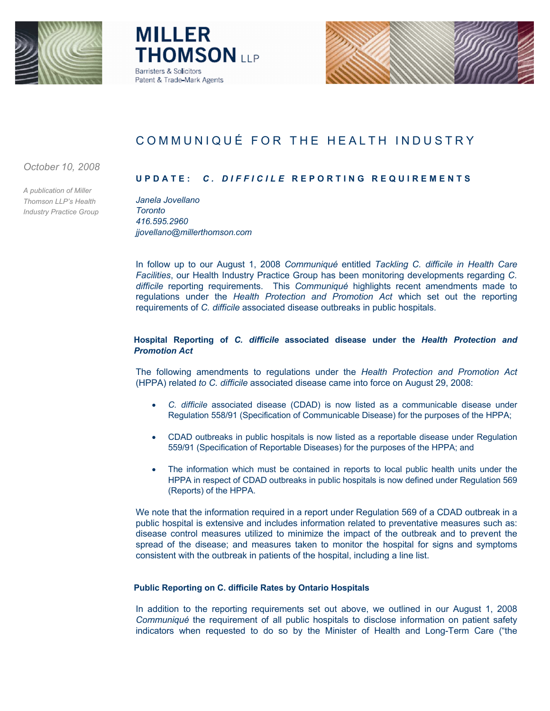





# COMMUNIQUÉ FOR THE HEALTH INDUSTRY

*October 10, 2008*

*A publication of Miller Thomson LLP's Health Industry Practice Group*

# **UPDATE:** *C. DIFFICILE* **REPORTING REQUIREME NTS**

*Janela Jovellano Toronto 416.595.2960 jjovellano@millerthomson.com*

In follow up to our August 1, 2008 *Communiqué* entitled *Tackling C. difficile in Health Care Facilities*, our Health Industry Practice Group has been monitoring developments regarding *C. difficile* reporting requirements. This *Communiqué* highlights recent amendments made to regulations under the *Health Protection and Promotion Act* which set out the reporting requirements of *C. difficile* associated disease outbreaks in public hospitals.

## **Hospital Reporting of** *C. difficile* **associated disease under the** *Health Protection and Promotion Act*

The following amendments to regulations under the *Health Protection and Promotion Act* (HPPA) related *to C. difficile* associated disease came into force on August 29, 2008:

- · *C. difficile* associated disease (CDAD) is now listed as a communicable disease under Regulation 558/91 (Specification of Communicable Disease) for the purposes of the HPPA;
- · CDAD outbreaks in public hospitals is now listed as a reportable disease under Regulation 559/91 (Specification of Reportable Diseases) for the purposes of the HPPA; and
- The information which must be contained in reports to local public health units under the HPPA in respect of CDAD outbreaks in public hospitals is now defined under Regulation 569 (Reports) of the HPPA.

We note that the information required in a report under Regulation 569 of a CDAD outbreak in a public hospital is extensive and includes information related to preventative measures such as: disease control measures utilized to minimize the impact of the outbreak and to prevent the spread of the disease; and measures taken to monitor the hospital for signs and symptoms consistent with the outbreak in patients of the hospital, including a line list.

### **Public Reporting on C. difficile Rates by Ontario Hospitals**

In addition to the reporting requirements set out above, we outlined in our August 1, 2008 *Communiqué* the requirement of all public hospitals to disclose information on patient safety indicators when requested to do so by the Minister of Health and Long-Term Care ("the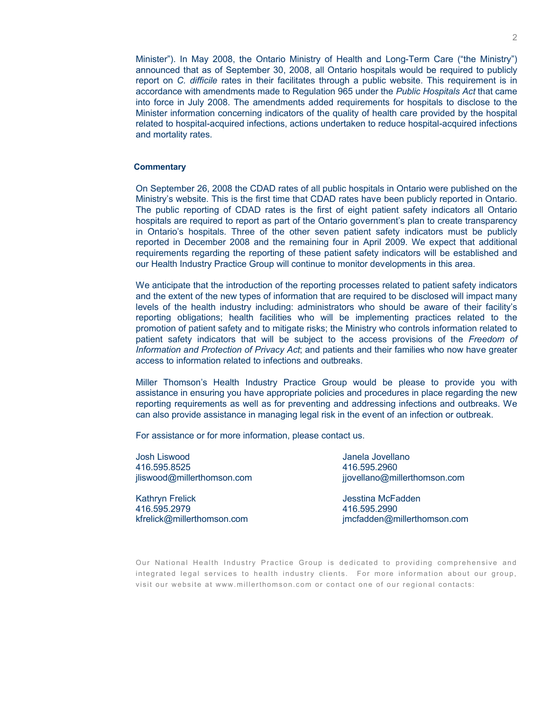Minister"). In May 2008, the Ontario Ministry of Health and Long-Term Care ("the Ministry") announced that as of September 30, 2008, all Ontario hospitals would be required to publicly report on *C. difficile* rates in their facilitates through a public website. This requirement is in accordance with amendments made to Regulation 965 under the *Public Hospitals Act* that came into force in July 2008. The amendments added requirements for hospitals to disclose to the Minister information concerning indicators of the quality of health care provided by the hospital related to hospital-acquired infections, actions undertaken to reduce hospital-acquired infections and mortality rates.

#### **Commentary**

On September 26, 2008 the CDAD rates of all public hospitals in Ontario were published on the Ministry's website. This is the first time that CDAD rates have been publicly reported in Ontario. The public reporting of CDAD rates is the first of eight patient safety indicators all Ontario hospitals are required to report as part of the Ontario government's plan to create transparency in Ontario's hospitals. Three of the other seven patient safety indicators must be publicly reported in December 2008 and the remaining four in April 2009. We expect that additional requirements regarding the reporting of these patient safety indicators will be established and our Health Industry Practice Group will continue to monitor developments in this area.

We anticipate that the introduction of the reporting processes related to patient safety indicators and the extent of the new types of information that are required to be disclosed will impact many levels of the health industry including: administrators who should be aware of their facility's reporting obligations; health facilities who will be implementing practices related to the promotion of patient safety and to mitigate risks; the Ministry who controls information related to patient safety indicators that will be subject to the access provisions of the *Freedom of Information and Protection of Privacy Act*; and patients and their families who now have greater access to information related to infections and outbreaks.

Miller Thomson's Health Industry Practice Group would be please to provide you with assistance in ensuring you have appropriate policies and procedures in place regarding the new reporting requirements as well as for preventing and addressing infections and outbreaks. We can also provide assistance in managing legal risk in the event of an infection or outbreak.

For assistance or for more information, please contact us.

Josh Liswood 416.595.8525 jliswood@millerthomson.com

Kathryn Frelick 416.595.2979 kfrelick@millerthomson.com

Janela Jovellano 416.595.2960 jjovellano@millerthomson.com

Jesstina McFadden 416.595.2990 jmcfadden@millerthomson.com

Our National Health Industry Practice Group is dedicated to providing comprehensive and integrated legal services to health industry clients. For more information about our group, visit our website at <www.millerthomson.com>or contact one of our regional contacts: